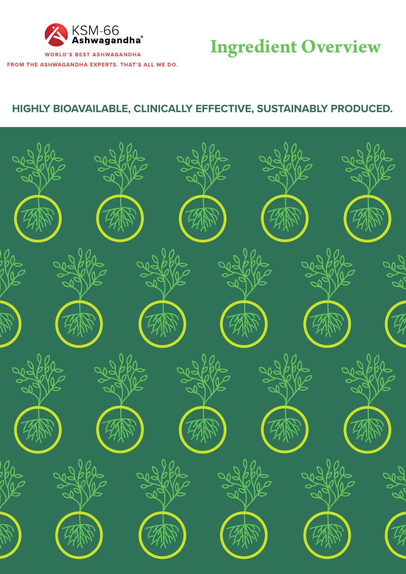

**WORLD'S BEST ASHWAGANDHA** FROM THE ASHWAGANDHA EXPERTS. THAT'S ALL WE DO.

# **Ingredient Overview**

### **HIGHLY BIOAVAILABLE, CLINICALLY EFFECTIVE, SUSTAINABLY PRODUCED.**

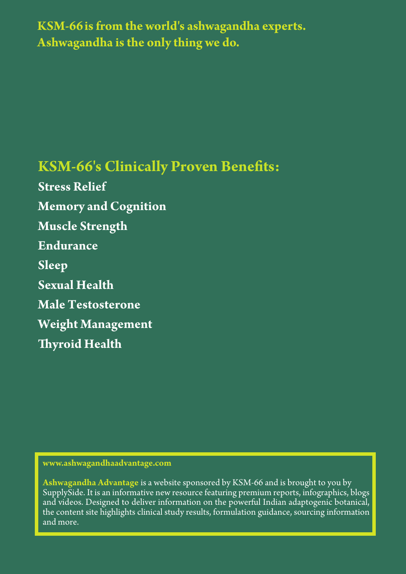**KSM-66is from the world's ashwagandha experts. Ashwagandha is the only thing we do.**

## **KSM-66's Clinically Proven Benefits:**

**Stress Relief Memory and Cognition Muscle Strength Endurance Sleep Sexual Health Male Testosterone Weight Management Thyroid Health**

**www.ashwagandhaadvantage.com**

**Ashwagandha Advantage** is a website sponsored by KSM-66 and is brought to you by SupplySide. It is an informative new resource featuring premium reports, infographics, blogs and videos. Designed to deliver information on the powerful Indian adaptogenic botanical, the content site highlights clinical study results, formulation guidance, sourcing information and more.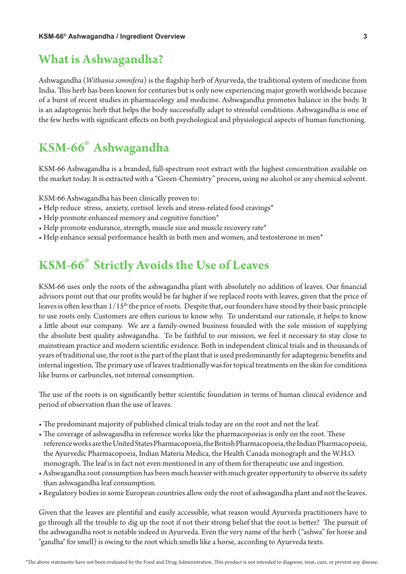### **What is Ashwagandha?**

Ashwagandha (*Withania somnifera*) is the flagship herb of Ayurveda, the traditional system of medicine from India. This herb has been known for centuries but is only now experiencing major growth worldwide because of a burst of recent studies in pharmacology and medicine. Ashwagandha promotes balance in the body. It is an adaptogenic herb that helps the body successfully adapt to stressful conditions. Ashwagandha is one of the few herbs with significant effects on both psychological and physiological aspects of human functioning.

### **KSM-66**® **Ashwagandha**

KSM-66 Ashwagandha is a branded, full-spectrum root extract with the highest concentration available on the market today. It is extracted with a "Green-Chemistry" process, using no alcohol or any chemical solvent.

KSM-66 Ashwagandha has been clinically proven to:

- Help reduce stress, anxiety, cortisol levels and stress-related food cravings\*
- Help promote enhanced memory and cognitive function<sup>\*</sup>
- Help promote endurance, strength, muscle size and muscle recovery rate\*
- Help enhance sexual performance health in both men and women, and testosterone in men\*

### **KSM-66**® **Strictly Avoids the Use of Leaves**

KSM-66 uses only the roots of the ashwagandha plant with absolutely no addition of leaves. Our financial advisors point out that our profits would be far higher if we replaced roots with leaves, given that the price of leaves is often less than  $1/15<sup>th</sup>$  the price of roots. Despite that, our founders have stood by their basic principle to use roots only. Customers are often curious to know why. To understand our rationale, it helps to know a little about our company. We are a family-owned business founded with the sole mission of supplying the absolute best quality ashwagandha. To be faithful to our mission, we feel it necessary to stay close to mainstream practice and modern scientific evidence. Both in independent clinical trials and in thousands of years of traditional use, the root is the part of the plant that is used predominantly for adaptogenic benefits and internal ingestion. The primary use of leaves traditionally was for topical treatments on the skin for conditions like burns or carbuncles, not internal consumption.

The use of the roots is on significantly better scientific foundation in terms of human clinical evidence and period of observation than the use of leaves.

- The predominant majority of published clinical trials today are on the root and not the leaf.
- The coverage of ashwagandha in reference works like the pharmacopoeias is only on the root. These reference works are the United States Pharmacopoeia, the British Pharmacopoeia, the Indian Pharmacopoeia, the Ayurvedic Pharmacopoeia, Indian Materia Medica, the Health Canada monograph and the W.H.O. monograph. The leaf is in fact not even mentioned in any of them for therapeutic use and ingestion.
- Ashwagandha root consumption has been much heavier with much greater opportunity to observe its safety than ashwagandha leaf consumption.
- Regulatory bodies in some European countries allow only the root of ashwagandha plant and not the leaves.

Given that the leaves are plentiful and easily accessible, what reason would Ayurveda practitioners have to go through all the trouble to dig up the root if not their strong belief that the root is better? The pursuit of the ashwagandha root is notable indeed in Ayurveda. Even the very name of the herb ("ashwa" for horse and "gandha" for smell) is owing to the root which smells like a horse, according to Ayurveda texts.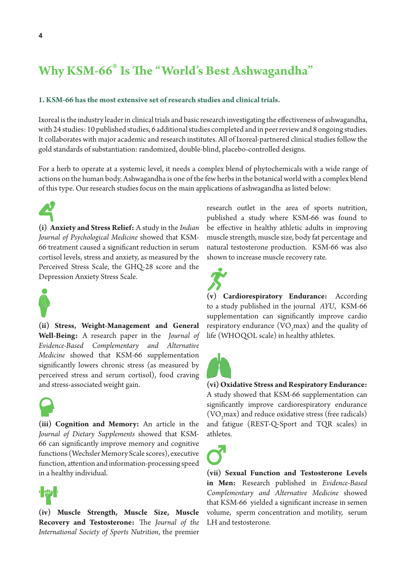### **Why KSM-66**® **Is The "World's Best Ashwagandha"**

#### **1. KSM-66 has the most extensive set of research studies and clinical trials.**

Ixoreal is the industry leader in clinical trials and basic research investigating the effectiveness of ashwagandha, with 24 studies: 10 published studies, 6 additional studies completed and in peer review and 8 ongoing studies. It collaborates with major academic and research institutes. All of Ixoreal-partnered clinical studies follow the gold standards of substantiation: randomized, double-blind, placebo-controlled designs.

For a herb to operate at a systemic level, it needs a complex blend of phytochemicals with a wide range of actions on the human body. Ashwagandha is one of the few herbs in the botanical world with a complex blend of this type. Our research studies focus on the main applications of ashwagandha as listed below:

**(i) Anxiety and Stress Relief:** A study in the *Indian Journal of Psychological Medicine* showed that KSM-66 treatment caused a significant reduction in serum cortisol levels, stress and anxiety, as measured by the Perceived Stress Scale, the GHQ-28 score and the Depression Anxiety Stress Scale.



**(ii) Stress, Weight-Management and General Well-Being:** A research paper in the *Journal of Evidence-Based Complementary and Alternative Medicine* showed that KSM-66 supplementation significantly lowers chronic stress (as measured by perceived stress and serum cortisol), food craving and stress-associated weight gain.



**(iii) Cognition and Memory:** An article in the *Journal of Dietary Supplements* showed that KSM-66 can significantly improve memory and cognitive functions (Wechsler Memory Scale scores), executive function, attention and information-processing speed in a healthy individual.



**(iv) Muscle Strength, Muscle Size, Muscle Recovery and Testosterone:** The *Journal of the International Society of Sports Nutrition*, the premier

research outlet in the area of sports nutrition, published a study where KSM-66 was found to be effective in healthy athletic adults in improving muscle strength, muscle size, body fat percentage and natural testosterone production. KSM-66 was also shown to increase muscle recovery rate.



**(v) Cardiorespiratory Endurance:** According to a study published in the journal *AYU*, KSM-66 supplementation can significantly improve cardio respiratory endurance  $(\text{VO}_2\text{max})$  and the quality of life (WHOQOL scale) in healthy athletes.



**(vi) Oxidative Stress and Respiratory Endurance:** A study showed that KSM-66 supplementation can significantly improve cardiorespiratory endurance  $(VO<sub>2</sub> max)$  and reduce oxidative stress (free radicals) and fatigue (REST-Q-Sport and TQR scales) in athletes.

**(vii) Sexual Function and Testosterone Levels in Men:** Research published in *Evidence-Based Complementary and Alternative Medicine* showed that KSM-66 yielded a significant increase in semen volume, sperm concentration and motility, serum LH and testosterone.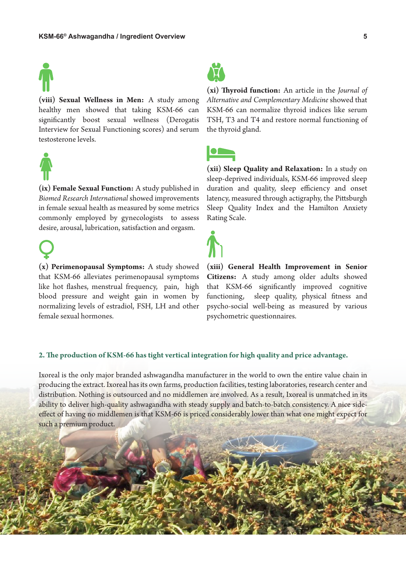

**(viii) Sexual Wellness in Men:** A study among healthy men showed that taking KSM-66 can significantly boost sexual wellness (Derogatis Interview for Sexual Functioning scores) and serum testosterone levels.



**(ix) Female Sexual Function:** A study published in *Biomed Research International* showed improvements in female sexual health as measured by some metrics commonly employed by gynecologists to assess desire, arousal, lubrication, satisfaction and orgasm.

**(x) Perimenopausal Symptoms:** A study showed that KSM-66 alleviates perimenopausal symptoms like hot flashes, menstrual frequency, pain, high blood pressure and weight gain in women by normalizing levels of estradiol, FSH, LH and other female sexual hormones.



**(xi) Thyroid function:** An article in the *Journal of Alternative and Complementary Medicine* showed that KSM-66 can normalize thyroid indices like serum TSH, T3 and T4 and restore normal functioning of the thyroid gland.

**(xii) Sleep Quality and Relaxation:** In a study on sleep-deprived individuals, KSM-66 improved sleep duration and quality, sleep efficiency and onset latency, measured through actigraphy, the Pittsburgh Sleep Quality Index and the Hamilton Anxiety Rating Scale.



**(xiii) General Health Improvement in Senior Citizens:** A study among older adults showed that KSM-66 significantly improved cognitive functioning, sleep quality, physical fitness and psycho-social well-being as measured by various psychometric questionnaires.

#### **2. The production of KSM-66 has tight vertical integration for high quality and price advantage.**

Ixoreal is the only major branded ashwagandha manufacturer in the world to own the entire value chain in producing the extract. Ixoreal has its own farms, production facilities, testing laboratories, research center and distribution. Nothing is outsourced and no middlemen are involved. As a result, Ixoreal is unmatched in its ability to deliver high-quality ashwagandha with steady supply and batch-to-batch consistency. A nice sideeffect of having no middlemen is that KSM-66 is priced considerably lower than what one might expect for such a premium product.

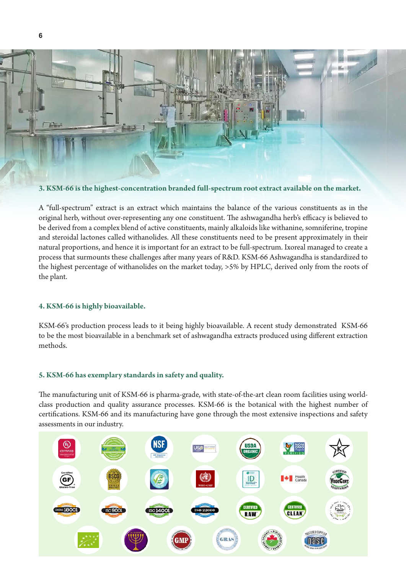

**3. KSM-66 is the highest-concentration branded full-spectrum root extract available on the market.**

A "full-spectrum" extract is an extract which maintains the balance of the various constituents as in the original herb, without over-representing any one constituent. The ashwagandha herb's efficacy is believed to be derived from a complex blend of active constituents, mainly alkaloids like withanine, somniferine, tropine and steroidal lactones called withanolides. All these constituents need to be present approximately in their natural proportions, and hence it is important for an extract to be full-spectrum. Ixoreal managed to create a process that surmounts these challenges after many years of R&D. KSM-66 Ashwagandha is standardized to the highest percentage of withanolides on the market today, >5% by HPLC, derived only from the roots of the plant.

#### **4. KSM-66 is highly bioavailable.**

KSM-66's production process leads to it being highly bioavailable. A recent study demonstrated KSM-66 to be the most bioavailable in a benchmark set of ashwagandha extracts produced using different extraction methods.

#### **5. KSM-66 has exemplary standards in safety and quality.**

The manufacturing unit of KSM-66 is pharma-grade, with state-of-the-art clean room facilities using worldclass production and quality assurance processes. KSM-66 is the botanical with the highest number of certifications. KSM-66 and its manufacturing have gone through the most extensive inspections and safety assessments in our industry.

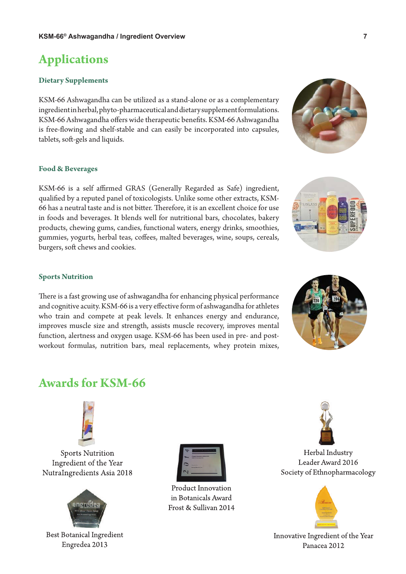### **Applications**

#### **Dietary Supplements**

KSM-66 Ashwagandha can be utilized as a stand-alone or as a complementary ingredient in herbal, phyto-pharmaceutical and dietary supplement formulations. KSM-66 Ashwagandha offers wide therapeutic benefits. KSM-66 Ashwagandha is free-flowing and shelf-stable and can easily be incorporated into capsules, tablets, soft-gels and liquids.

#### **Food & Beverages**

KSM-66 is a self affirmed GRAS (Generally Regarded as Safe) ingredient, qualified by a reputed panel of toxicologists. Unlike some other extracts, KSM-66 has a neutral taste and is not bitter. Therefore, it is an excellent choice for use in foods and beverages. It blends well for nutritional bars, chocolates, bakery products, chewing gums, candies, functional waters, energy drinks, smoothies, gummies, yogurts, herbal teas, coffees, malted beverages, wine, soups, cereals, burgers, soft chews and cookies.

#### **Sports Nutrition**

There is a fast growing use of ashwagandha for enhancing physical performance and cognitive acuity. KSM-66 is a very effective form of ashwagandha for athletes who train and compete at peak levels. It enhances energy and endurance, improves muscle size and strength, assists muscle recovery, improves mental function, alertness and oxygen usage. KSM-66 has been used in pre- and postworkout formulas, nutrition bars, meal replacements, whey protein mixes,

### **Awards for KSM-66**



**Sports Nutrition** Ingredient of the Year NutraIngredients Asia 2018



**Best Botanical Ingredient** Engredea 2013



**Product Innovation** in Botanicals Award Frost & Sullivan 2014





Innovative Ingredient of the Year Panacea 2012